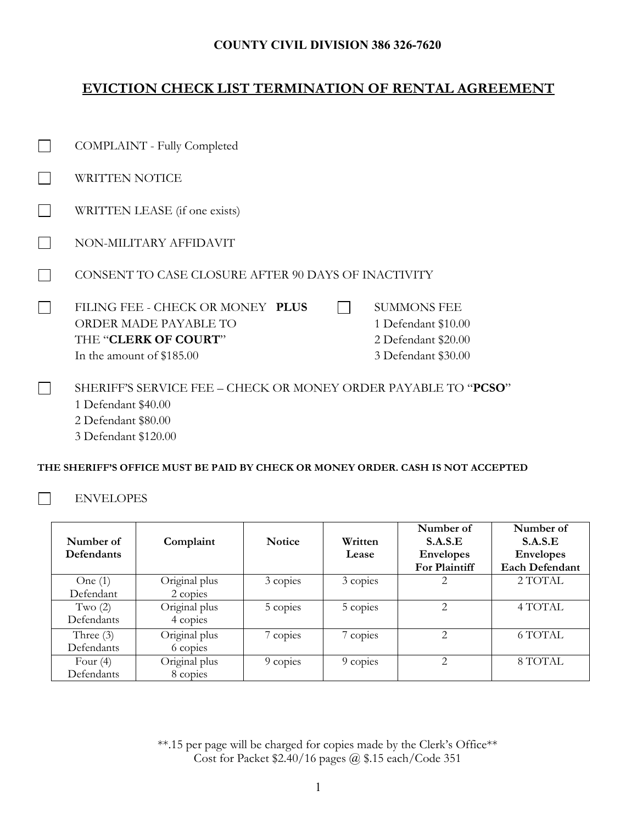### **COUNTY CIVIL DIVISION 386 326-7620**

## **EVICTION CHECK LIST TERMINATION OF RENTAL AGREEMENT**

| COMPLAINT - Fully Completed                                                                                           |                                                                                         |
|-----------------------------------------------------------------------------------------------------------------------|-----------------------------------------------------------------------------------------|
| WRITTEN NOTICE                                                                                                        |                                                                                         |
| WRITTEN LEASE (if one exists)                                                                                         |                                                                                         |
| NON-MILITARY AFFIDAVIT                                                                                                |                                                                                         |
| CONSENT TO CASE CLOSURE AFTER 90 DAYS OF INACTIVITY                                                                   |                                                                                         |
| FILING FEE - CHECK OR MONEY PLUS<br><b>ORDER MADE PAYABLE TO</b><br>THE "CLERK OF COURT"<br>In the amount of \$185.00 | <b>SUMMONS FEE</b><br>1 Defendant \$10.00<br>2 Defendant \$20.00<br>3 Defendant \$30.00 |
| SHERIFF'S SERVICE FEE – CHECK OR MONEY ORDER PAYABLE TO " <b>PCSO</b> "<br>1 Defendant \$40.00                        |                                                                                         |

2 Defendant \$80.00

3 Defendant \$120.00

#### **THE SHERIFF'S OFFICE MUST BE PAID BY CHECK OR MONEY ORDER. CASH IS NOT ACCEPTED**

#### ENVELOPES

 $\Box$ 

| Number of<br><b>Defendants</b> | Complaint                 | <b>Notice</b> | Written<br>Lease | Number of<br>S.A.S.E<br><b>Envelopes</b><br>For Plaintiff | Number of<br>S.A.S.E<br><b>Envelopes</b><br><b>Each Defendant</b> |
|--------------------------------|---------------------------|---------------|------------------|-----------------------------------------------------------|-------------------------------------------------------------------|
| One $(1)$<br>Defendant         | Original plus<br>2 copies | 3 copies      | 3 copies         | 2                                                         | 2 TOTAL                                                           |
| Two $(2)$<br>Defendants        | Original plus<br>4 copies | 5 copies      | 5 copies         | $\overline{2}$                                            | 4 TOTAL                                                           |
| Three $(3)$<br>Defendants      | Original plus<br>6 copies | 7 copies      | 7 copies         | $\overline{2}$                                            | 6 TOTAL                                                           |
| Four $(4)$<br>Defendants       | Original plus<br>8 copies | 9 copies      | 9 copies         | $\mathfrak{D}_{\mathfrak{p}}$                             | 8 TOTAL                                                           |

\*\*.15 per page will be charged for copies made by the Clerk's Office\*\* Cost for Packet \$2.40/16 pages @ \$.15 each/Code 351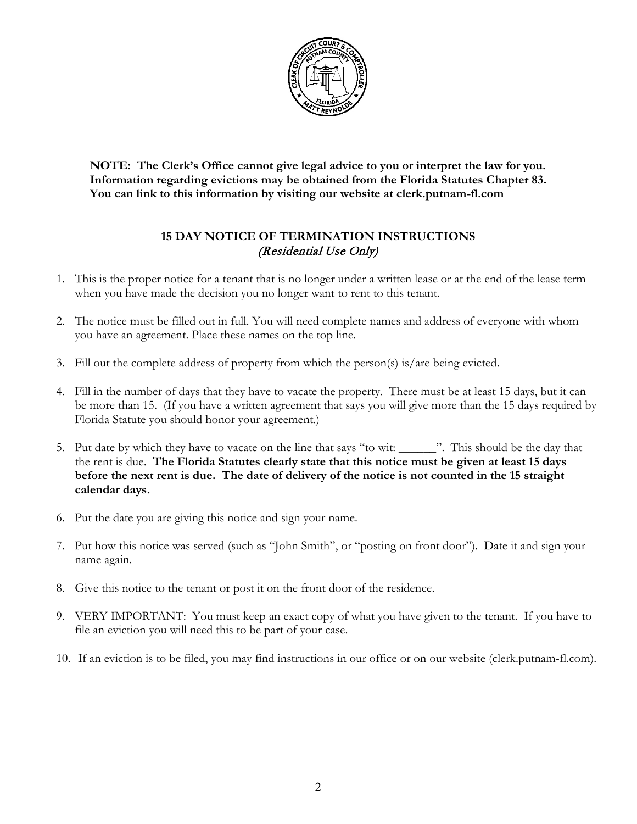

**NOTE: The Clerk's Office cannot give legal advice to you or interpret the law for you. Information regarding evictions may be obtained from the Florida Statutes Chapter 83. You can link to this information by visiting our website at clerk.putnam-fl.com**

## **15 DAY NOTICE OF TERMINATION INSTRUCTIONS** (Residential Use Only)

- 1. This is the proper notice for a tenant that is no longer under a written lease or at the end of the lease term when you have made the decision you no longer want to rent to this tenant.
- 2. The notice must be filled out in full. You will need complete names and address of everyone with whom you have an agreement. Place these names on the top line.
- 3. Fill out the complete address of property from which the person(s) is/are being evicted.
- 4. Fill in the number of days that they have to vacate the property. There must be at least 15 days, but it can be more than 15. (If you have a written agreement that says you will give more than the 15 days required by Florida Statute you should honor your agreement.)
- 5. Put date by which they have to vacate on the line that says "to wit: \_\_\_\_\_\_". This should be the day that the rent is due. **The Florida Statutes clearly state that this notice must be given at least 15 days before the next rent is due. The date of delivery of the notice is not counted in the 15 straight calendar days.**
- 6. Put the date you are giving this notice and sign your name.
- 7. Put how this notice was served (such as "John Smith", or "posting on front door"). Date it and sign your name again.
- 8. Give this notice to the tenant or post it on the front door of the residence.
- 9. VERY IMPORTANT: You must keep an exact copy of what you have given to the tenant. If you have to file an eviction you will need this to be part of your case.
- 10. If an eviction is to be filed, you may find instructions in our office or on our website (clerk.putnam-fl.com).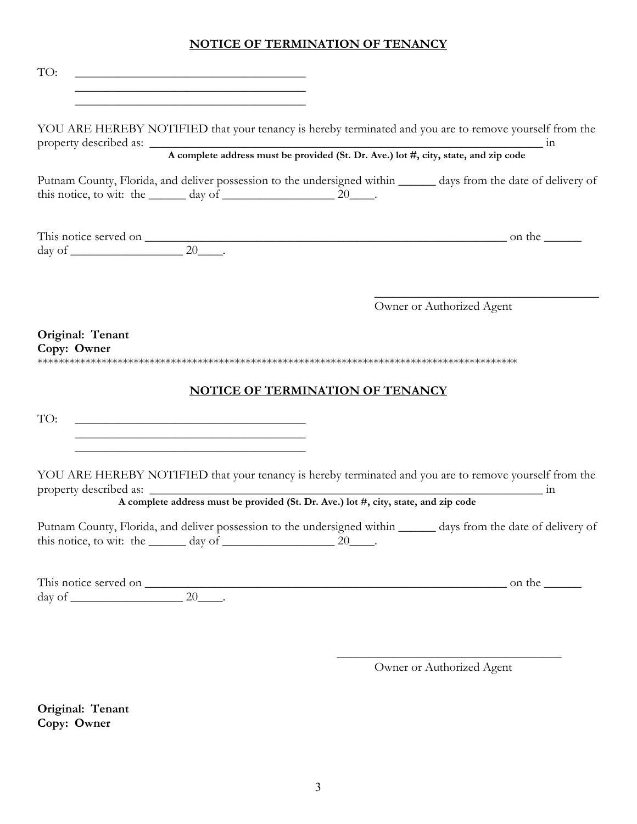## **NOTICE OF TERMINATION OF TENANCY**

| TO:<br><u> 1989 - Johann Barbara, marka a shekara tsa 1989 - An tsa 1989 - An tsa 1989 - An tsa 1989 - An tsa 1989 - An</u><br><u> 1989 - Johann Barbara, margaret eta idazlea (h. 1989).</u>                                                                                                  |                                         |                           |
|------------------------------------------------------------------------------------------------------------------------------------------------------------------------------------------------------------------------------------------------------------------------------------------------|-----------------------------------------|---------------------------|
| YOU ARE HEREBY NOTIFIED that your tenancy is hereby terminated and you are to remove yourself from the<br>property described as:<br>A complete address must be provided (St. Dr. Ave.) lot #, city, state, and zip code                                                                        |                                         |                           |
| Putnam County, Florida, and deliver possession to the undersigned within ______ days from the date of delivery of<br>this notice, to wit: the $\_\_\_\_\$ day of $\_\_\_\_\_\_\_\_\_\_$ 20 $\_\_\_\_\_\_\_$ .                                                                                  |                                         |                           |
| This notice served on $\frac{20}{20}$ .                                                                                                                                                                                                                                                        |                                         |                           |
|                                                                                                                                                                                                                                                                                                |                                         | Owner or Authorized Agent |
| Original: Tenant<br>Copy: Owner                                                                                                                                                                                                                                                                |                                         |                           |
|                                                                                                                                                                                                                                                                                                | <b>NOTICE OF TERMINATION OF TENANCY</b> |                           |
| TO:<br><u> 1989 - Johann Barbara, martin da kasar Amerikaan kasar da</u><br><u> 1989 - Andrea Stadt British, amerikan bestean ingilang pada sebagai pada sebagai pada sebagai pada sebagai pa</u><br>the control of the control of the control of the control of the control of the control of |                                         |                           |
| YOU ARE HEREBY NOTIFIED that your tenancy is hereby terminated and you are to remove yourself from the<br>property described as:<br>A complete address must be provided (St. Dr. Ave.) lot #, city, state, and zip code                                                                        |                                         |                           |
| Putnam County, Florida, and deliver possession to the undersigned within ______ days from the date of delivery of<br>this notice, to wit: the $\_\_\_\_\$ day of $\_\_\_\_\_\_\_\_\_$ 20 $\_\_\_\_\_\_$ .                                                                                      |                                         |                           |
| This notice served on $\frac{1}{20}$ . $\frac{20}{20}$ on the $\frac{1}{20}$                                                                                                                                                                                                                   |                                         |                           |
|                                                                                                                                                                                                                                                                                                |                                         |                           |

\_\_\_\_\_\_\_\_\_\_\_\_\_\_\_\_\_\_\_\_\_\_\_\_\_\_\_\_\_\_\_\_\_\_\_\_ Owner or Authorized Agent

**Original: Tenant Copy: Owner**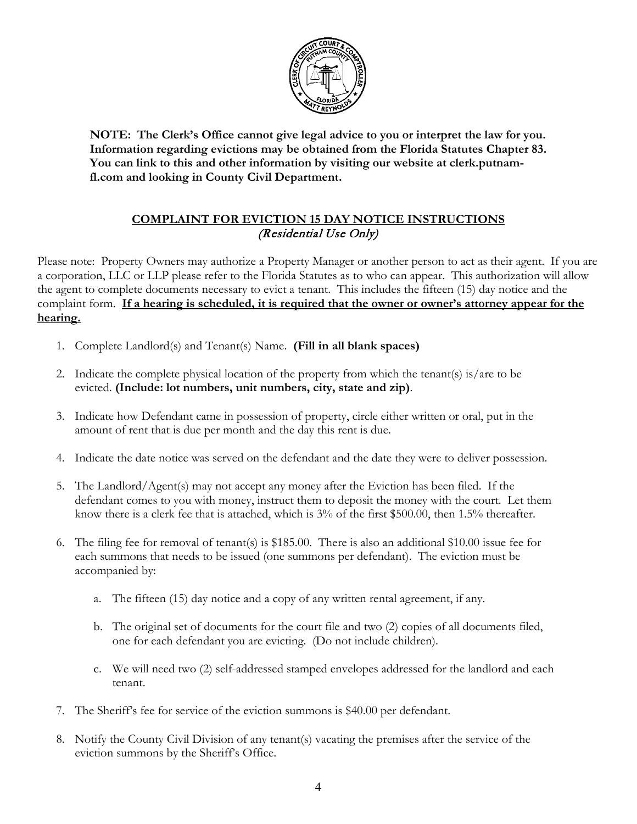

**NOTE: The Clerk's Office cannot give legal advice to you or interpret the law for you. Information regarding evictions may be obtained from the Florida Statutes Chapter 83. You can link to this and other information by visiting our website at clerk.putnamfl.com and looking in County Civil Department.**

## **COMPLAINT FOR EVICTION 15 DAY NOTICE INSTRUCTIONS** (Residential Use Only)

Please note: Property Owners may authorize a Property Manager or another person to act as their agent. If you are a corporation, LLC or LLP please refer to the Florida Statutes as to who can appear. This authorization will allow the agent to complete documents necessary to evict a tenant. This includes the fifteen (15) day notice and the complaint form. If a hearing is scheduled, it is required that the owner or owner's attorney appear for the **hearing.**

- 1. Complete Landlord(s) and Tenant(s) Name. **(Fill in all blank spaces)**
- 2. Indicate the complete physical location of the property from which the tenant(s) is/are to be evicted. **(Include: lot numbers, unit numbers, city, state and zip)**.
- 3. Indicate how Defendant came in possession of property, circle either written or oral, put in the amount of rent that is due per month and the day this rent is due.
- 4. Indicate the date notice was served on the defendant and the date they were to deliver possession.
- 5. The Landlord/Agent(s) may not accept any money after the Eviction has been filed. If the defendant comes to you with money, instruct them to deposit the money with the court. Let them know there is a clerk fee that is attached, which is 3% of the first \$500.00, then 1.5% thereafter.
- 6. The filing fee for removal of tenant(s) is \$185.00. There is also an additional \$10.00 issue fee for each summons that needs to be issued (one summons per defendant). The eviction must be accompanied by:
	- a. The fifteen (15) day notice and a copy of any written rental agreement, if any.
	- b. The original set of documents for the court file and two (2) copies of all documents filed, one for each defendant you are evicting. (Do not include children).
	- c. We will need two (2) self-addressed stamped envelopes addressed for the landlord and each tenant.
- 7. The Sheriff's fee for service of the eviction summons is \$40.00 per defendant.
- 8. Notify the County Civil Division of any tenant(s) vacating the premises after the service of the eviction summons by the Sheriff's Office.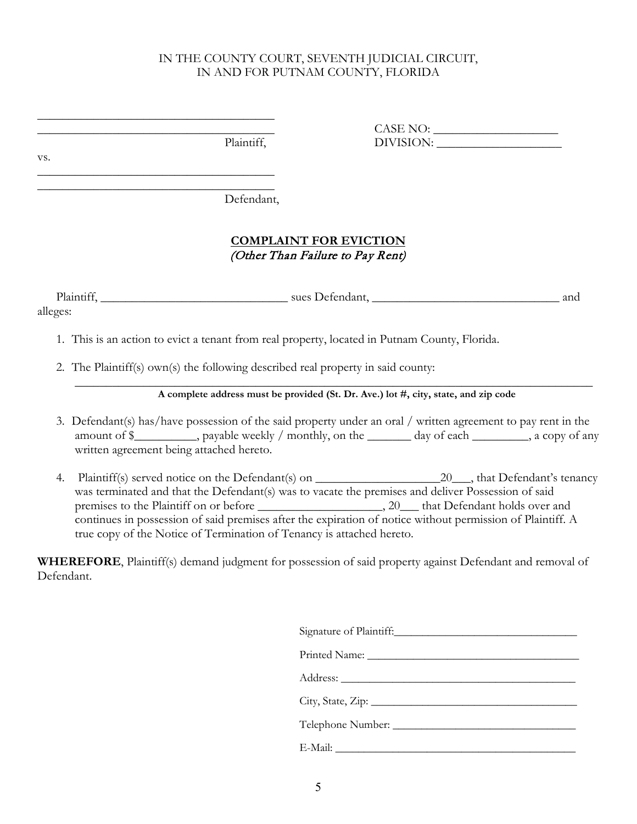### IN THE COUNTY COURT, SEVENTH JUDICIAL CIRCUIT, IN AND FOR PUTNAM COUNTY, FLORIDA

|     | Plaintiff,                                               | DIVISION: |  |
|-----|----------------------------------------------------------|-----------|--|
| VS. |                                                          |           |  |
|     | Defendant,                                               |           |  |
|     | $0.01$ (B) $\pm 1.3$ (H) $\pm 0.0$ $\pm 0.01$ (OH) $0.1$ |           |  |

## **COMPLAINT FOR EVICTION** (Other Than Failure to Pay Rent)

Plaintiff, \_\_\_\_\_\_\_\_\_\_\_\_\_\_\_\_\_\_\_\_\_\_\_\_\_\_\_\_\_\_ sues Defendant, \_\_\_\_\_\_\_\_\_\_\_\_\_\_\_\_\_\_\_\_\_\_\_\_\_\_\_\_\_\_ and alleges:

- 1. This is an action to evict a tenant from real property, located in Putnam County, Florida.
- 2. The Plaintiff(s) own(s) the following described real property in said county:

\_\_\_\_\_\_\_\_\_\_\_\_\_\_\_\_\_\_\_\_\_\_\_\_\_\_\_\_\_\_\_\_\_\_\_\_\_\_\_\_\_\_\_\_\_\_\_\_\_\_\_\_\_\_\_\_\_\_\_\_\_\_\_\_\_\_\_\_\_\_\_\_\_\_\_\_\_\_\_\_\_\_\_ **A complete address must be provided (St. Dr. Ave.) lot #, city, state, and zip code**

- 3. Defendant(s) has/have possession of the said property under an oral / written agreement to pay rent in the amount of \$\_\_\_\_\_\_\_\_\_, payable weekly / monthly, on the \_\_\_\_\_\_\_ day of each \_\_\_\_\_\_\_, a copy of any written agreement being attached hereto.
- 4. Plaintiff(s) served notice on the Defendant(s) on \_\_\_\_\_\_\_\_\_\_\_\_\_\_\_\_\_\_\_\_20\_\_\_, that Defendant's tenancy was terminated and that the Defendant(s) was to vacate the premises and deliver Possession of said premises to the Plaintiff on or before \_\_\_\_\_\_\_\_\_\_\_\_\_\_\_\_\_\_, 20\_\_\_ that Defendant holds over and continues in possession of said premises after the expiration of notice without permission of Plaintiff. A true copy of the Notice of Termination of Tenancy is attached hereto.

**WHEREFORE**, Plaintiff(s) demand judgment for possession of said property against Defendant and removal of Defendant.

| E-Mail: New York Commission and the Commission of the Commission of the Commission of the Commission of the Commission of the Commission of the Commission of the Commission of the Commission of the Commission of the Commis |  |  |
|--------------------------------------------------------------------------------------------------------------------------------------------------------------------------------------------------------------------------------|--|--|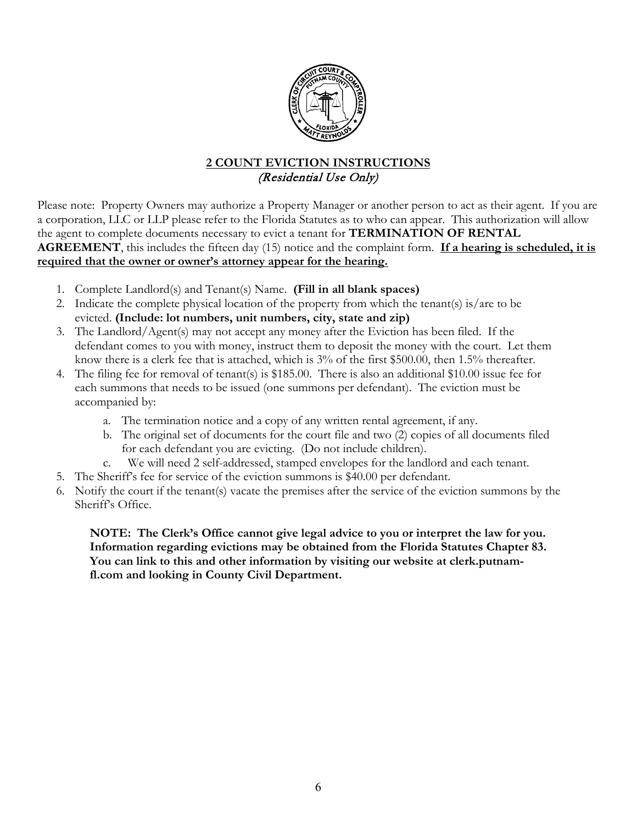

## **2 COUNT EVICTION INSTRUCTIONS** (Residential Use Only)

Please note: Property Owners may authorize a Property Manager or another person to act as their agent. If you are a corporation, LLC or LLP please refer to the Florida Statutes as to who can appear. This authorization will allow the agent to complete documents necessary to evict a tenant for **TERMINATION OF RENTAL AGREEMENT**, this includes the fifteen day (15) notice and the complaint form. **If a hearing is scheduled, it is required that the owner or owner's attorney appear for the hearing.**

- 1. Complete Landlord(s) and Tenant(s) Name. **(Fill in all blank spaces)**
- 2. Indicate the complete physical location of the property from which the tenant(s) is/are to be evicted. **(Include: lot numbers, unit numbers, city, state and zip)**
- 3. The Landlord/Agent(s) may not accept any money after the Eviction has been filed. If the defendant comes to you with money, instruct them to deposit the money with the court. Let them know there is a clerk fee that is attached, which is 3% of the first \$500.00, then 1.5% thereafter.
- 4. The filing fee for removal of tenant(s) is \$185.00. There is also an additional \$10.00 issue fee for each summons that needs to be issued (one summons per defendant). The eviction must be accompanied by:
	- a. The termination notice and a copy of any written rental agreement, if any.
	- b. The original set of documents for the court file and two (2) copies of all documents filed for each defendant you are evicting. (Do not include children).
	- c. We will need 2 self-addressed, stamped envelopes for the landlord and each tenant.
- 5. The Sheriff's fee for service of the eviction summons is \$40.00 per defendant.
- 6. Notify the court if the tenant(s) vacate the premises after the service of the eviction summons by the Sheriff's Office.

**NOTE: The Clerk's Office cannot give legal advice to you or interpret the law for you. Information regarding evictions may be obtained from the Florida Statutes Chapter 83. You can link to this and other information by visiting our website at clerk.putnamfl.com and looking in County Civil Department.**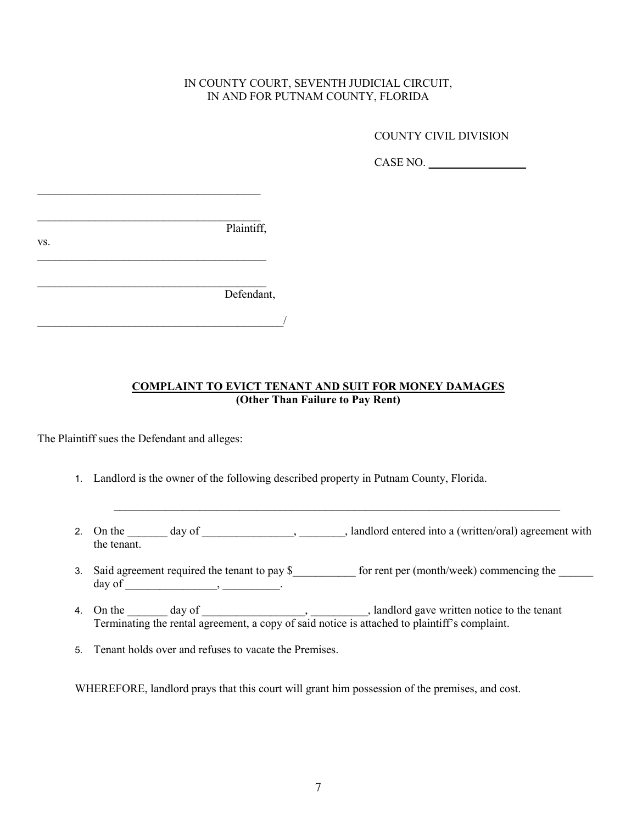### IN COUNTY COURT, SEVENTH JUDICIAL CIRCUIT, IN AND FOR PUTNAM COUNTY, FLORIDA

COUNTY CIVIL DIVISION

CASE NO. **\_\_\_\_\_\_\_\_\_\_\_\_\_\_\_\_\_**

 $\mathcal{L}_\text{max}$  , and the set of the set of the set of the set of the set of the set of the set of the set of the set of the set of the set of the set of the set of the set of the set of the set of the set of the set of the Plaintiff, vs.  $\overline{\phantom{a}}$  , and the set of the set of the set of the set of the set of the set of the set of the set of the set of the set of the set of the set of the set of the set of the set of the set of the set of the set of the s  $\mathcal{L}_\text{max}$  , where  $\mathcal{L}_\text{max}$  , we are the set of the set of the set of the set of the set of the set of the set of the set of the set of the set of the set of the set of the set of the set of the set of the set of Defendant,  $\overline{\phantom{a}}$ 

\_\_\_\_\_\_\_\_\_\_\_\_\_\_\_\_\_\_\_\_\_\_\_\_\_\_\_\_\_\_\_\_\_\_\_\_\_\_\_

### **COMPLAINT TO EVICT TENANT AND SUIT FOR MONEY DAMAGES (Other Than Failure to Pay Rent)**

The Plaintiff sues the Defendant and alleges:

- 1. Landlord is the owner of the following described property in Putnam County, Florida.
- 2. On the \_\_\_\_\_\_\_ day of \_\_\_\_\_\_\_\_\_\_\_\_\_\_, \_\_\_\_\_\_\_, landlord entered into a (written/oral) agreement with the tenant.

 $\mathcal{L}_\text{max}$  and  $\mathcal{L}_\text{max}$  and  $\mathcal{L}_\text{max}$  and  $\mathcal{L}_\text{max}$  and  $\mathcal{L}_\text{max}$  and  $\mathcal{L}_\text{max}$ 

- 3. Said agreement required the tenant to pay \$\_\_\_\_\_\_\_\_\_\_\_\_ for rent per (month/week) commencing the \_\_\_\_\_\_\_\_\_ day of \_\_\_\_\_\_\_\_\_\_\_\_\_\_\_\_, \_\_\_\_\_\_\_\_\_\_.
- 4. On the day of day  $\frac{1}{2}$  day of  $\frac{1}{2}$ ,  $\frac{1}{2}$ , landlord gave written notice to the tenant Terminating the rental agreement, a copy of said notice is attached to plaintiff's complaint.
- 5. Tenant holds over and refuses to vacate the Premises.

WHEREFORE, landlord prays that this court will grant him possession of the premises, and cost.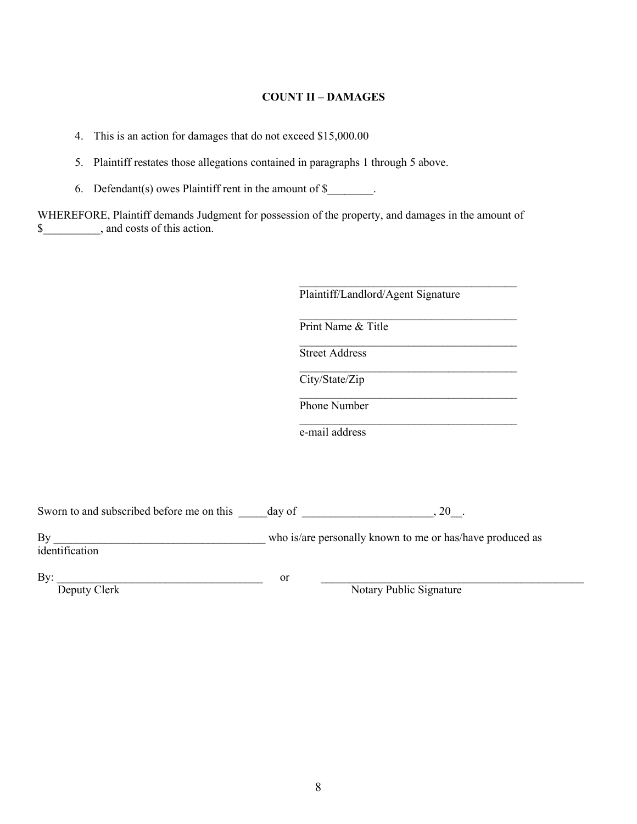#### **COUNT II – DAMAGES**

4. This is an action for damages that do not exceed \$15,000.00

5. Plaintiff restates those allegations contained in paragraphs 1 through 5 above.

6. Defendant(s) owes Plaintiff rent in the amount of  $\$$ .

WHEREFORE, Plaintiff demands Judgment for possession of the property, and damages in the amount of \$\_\_\_\_\_\_\_\_\_\_, and costs of this action.

| Print Name & Title    |  |
|-----------------------|--|
| <b>Street Address</b> |  |
| City/State/Zip        |  |

\_\_\_\_\_\_\_\_\_\_\_\_\_\_\_\_\_\_\_\_\_\_\_\_\_\_\_\_\_\_\_\_\_\_\_\_\_\_

e-mail address

Sworn to and subscribed before me on this day of \_\_\_\_\_\_\_\_\_\_\_\_\_\_\_\_\_\_\_, 20\_\_.

who is/are personally known to me or has/have produced as By <u>identification</u>

By:  $\frac{1}{\text{Deputy Clearly}}$ 

Notary Public Signature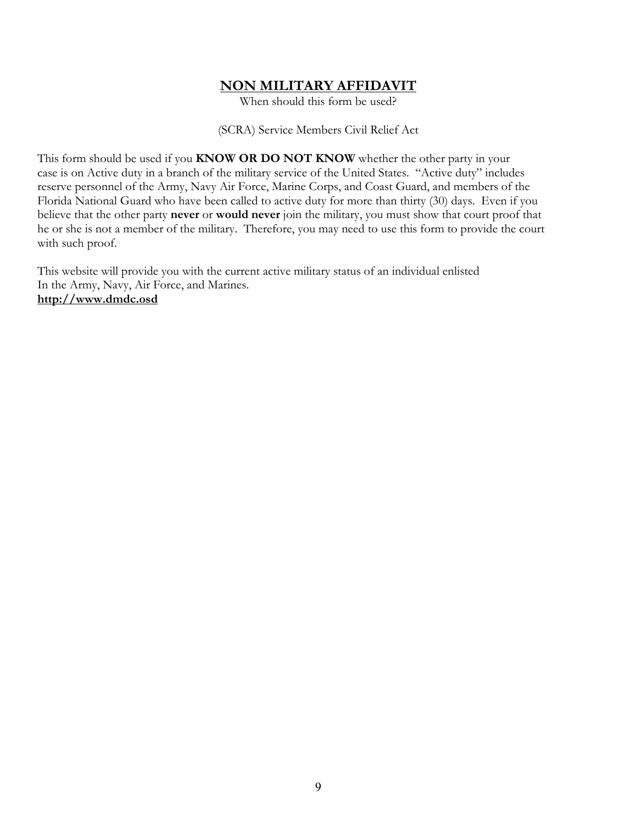## **NON MILITARY AFFIDAVIT**

When should this form be used?

(SCRA) Service Members Civil Relief Act

This form should be used if you **KNOW OR DO NOT KNOW** whether the other party in your case is on Active duty in a branch of the military service of the United States. "Active duty" includes reserve personnel of the Army, Navy Air Force, Marine Corps, and Coast Guard, and members of the Florida National Guard who have been called to active duty for more than thirty (30) days. Even if you believe that the other party **never** or **would never** join the military, you must show that court proof that he or she is not a member of the military. Therefore, you may need to use this form to provide the court with such proof.

This website will provide you with the current active military status of an individual enlisted In the Army, Navy, Air Force, and Marines. **http://www.dmdc.osd**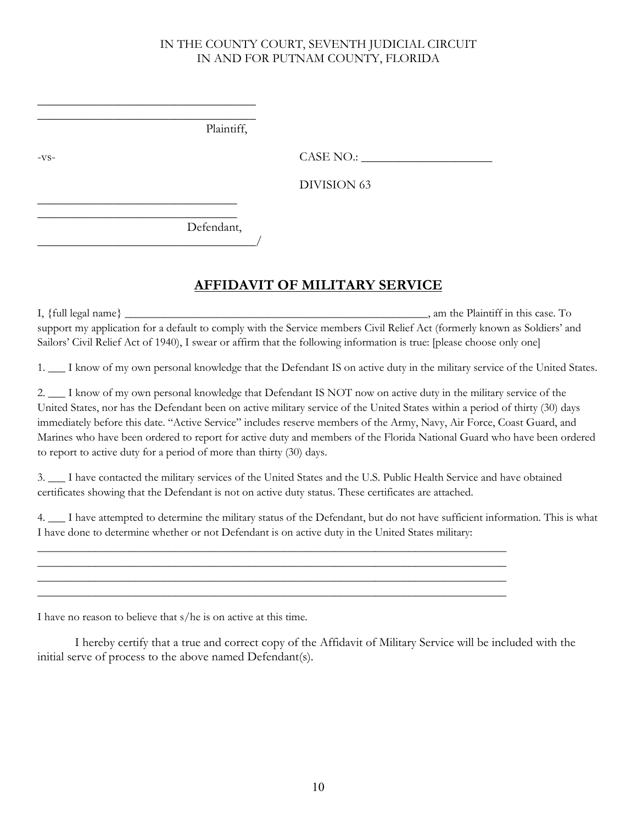### IN THE COUNTY COURT, SEVENTH JUDICIAL CIRCUIT IN AND FOR PUTNAM COUNTY, FLORIDA

|        | Plaintiff, |             |  |
|--------|------------|-------------|--|
| $-VS-$ |            | CASE NO.:   |  |
|        |            | DIVISION 63 |  |
|        |            |             |  |
|        | Defendant, |             |  |

# **AFFIDAVIT OF MILITARY SERVICE**

I, {full legal name} \_\_\_\_\_\_\_\_\_\_\_\_\_\_\_\_\_\_\_\_\_\_\_\_\_\_\_\_\_\_\_\_\_\_\_\_\_\_\_\_\_\_\_\_\_\_\_\_\_\_\_\_\_, am the Plaintiff in this case. To support my application for a default to comply with the Service members Civil Relief Act (formerly known as Soldiers' and Sailors' Civil Relief Act of 1940), I swear or affirm that the following information is true: [please choose only one]

1. \_\_\_ I know of my own personal knowledge that the Defendant IS on active duty in the military service of the United States.

2.  $\Box$  I know of my own personal knowledge that Defendant IS NOT now on active duty in the military service of the United States, nor has the Defendant been on active military service of the United States within a period of thirty (30) days immediately before this date. "Active Service" includes reserve members of the Army, Navy, Air Force, Coast Guard, and Marines who have been ordered to report for active duty and members of the Florida National Guard who have been ordered to report to active duty for a period of more than thirty (30) days.

3. \_\_\_ I have contacted the military services of the United States and the U.S. Public Health Service and have obtained certificates showing that the Defendant is not on active duty status. These certificates are attached.

\_\_\_\_\_\_\_\_\_\_\_\_\_\_\_\_\_\_\_\_\_\_\_\_\_\_\_\_\_\_\_\_\_\_\_\_\_\_\_\_\_\_\_\_\_\_\_\_\_\_\_\_\_\_\_\_\_\_\_\_\_\_\_\_\_\_\_\_\_\_\_\_\_\_\_\_\_\_\_\_\_\_ \_\_\_\_\_\_\_\_\_\_\_\_\_\_\_\_\_\_\_\_\_\_\_\_\_\_\_\_\_\_\_\_\_\_\_\_\_\_\_\_\_\_\_\_\_\_\_\_\_\_\_\_\_\_\_\_\_\_\_\_\_\_\_\_\_\_\_\_\_\_\_\_\_\_\_\_\_\_\_\_\_\_ \_\_\_\_\_\_\_\_\_\_\_\_\_\_\_\_\_\_\_\_\_\_\_\_\_\_\_\_\_\_\_\_\_\_\_\_\_\_\_\_\_\_\_\_\_\_\_\_\_\_\_\_\_\_\_\_\_\_\_\_\_\_\_\_\_\_\_\_\_\_\_\_\_\_\_\_\_\_\_\_\_\_ \_\_\_\_\_\_\_\_\_\_\_\_\_\_\_\_\_\_\_\_\_\_\_\_\_\_\_\_\_\_\_\_\_\_\_\_\_\_\_\_\_\_\_\_\_\_\_\_\_\_\_\_\_\_\_\_\_\_\_\_\_\_\_\_\_\_\_\_\_\_\_\_\_\_\_\_\_\_\_\_\_\_

4. \_\_\_ I have attempted to determine the military status of the Defendant, but do not have sufficient information. This is what I have done to determine whether or not Defendant is on active duty in the United States military:

I have no reason to believe that s/he is on active at this time.

I hereby certify that a true and correct copy of the Affidavit of Military Service will be included with the initial serve of process to the above named Defendant(s).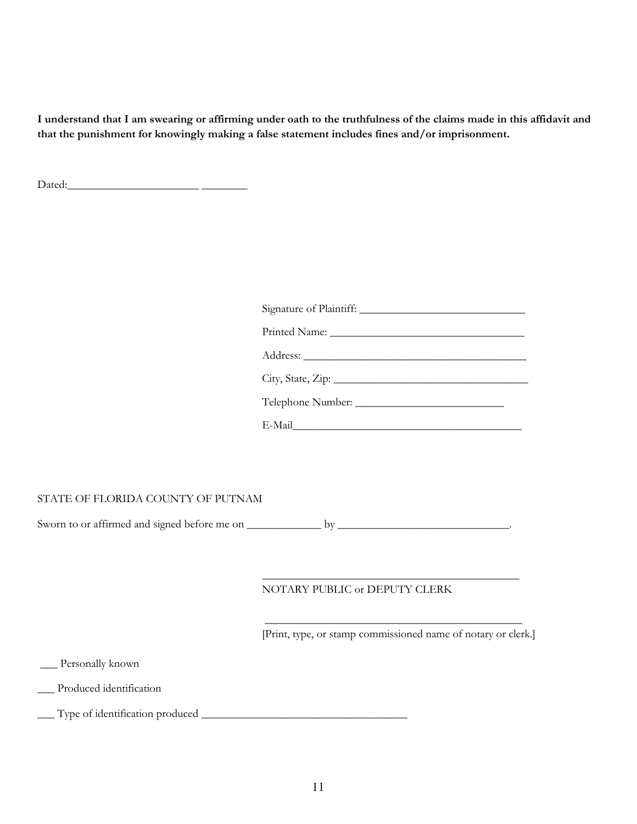**I understand that I am swearing or affirming under oath to the truthfulness of the claims made in this affidavit and that the punishment for knowingly making a false statement includes fines and/or imprisonment.**

Dated:\_\_\_\_\_\_\_\_\_\_\_\_\_\_\_\_\_\_\_\_\_\_\_ \_\_\_\_\_\_\_\_

| City, State, Zip: |
|-------------------|
|                   |
| E-Mail            |

#### STATE OF FLORIDA COUNTY OF PUTNAM

Sworn to or affirmed and signed before me on \_\_\_\_\_\_\_\_\_\_\_\_\_ by \_\_\_\_\_\_\_\_\_\_\_\_\_\_\_\_\_\_\_\_\_\_\_\_\_\_\_\_\_\_.

#### NOTARY PUBLIC or DEPUTY CLERK

\_\_\_\_\_\_\_\_\_\_\_\_\_\_\_\_\_\_\_\_\_\_\_\_\_\_\_\_\_\_\_\_\_\_\_\_\_\_\_\_\_\_\_\_\_ [Print, type, or stamp commissioned name of notary or clerk.]

\_\_\_\_\_\_\_\_\_\_\_\_\_\_\_\_\_\_\_\_\_\_\_\_\_\_\_\_\_\_\_\_\_\_\_\_\_\_\_\_\_\_\_\_\_

\_\_\_ Personally known

\_\_\_ Produced identification

\_\_\_ Type of identification produced \_\_\_\_\_\_\_\_\_\_\_\_\_\_\_\_\_\_\_\_\_\_\_\_\_\_\_\_\_\_\_\_\_\_\_\_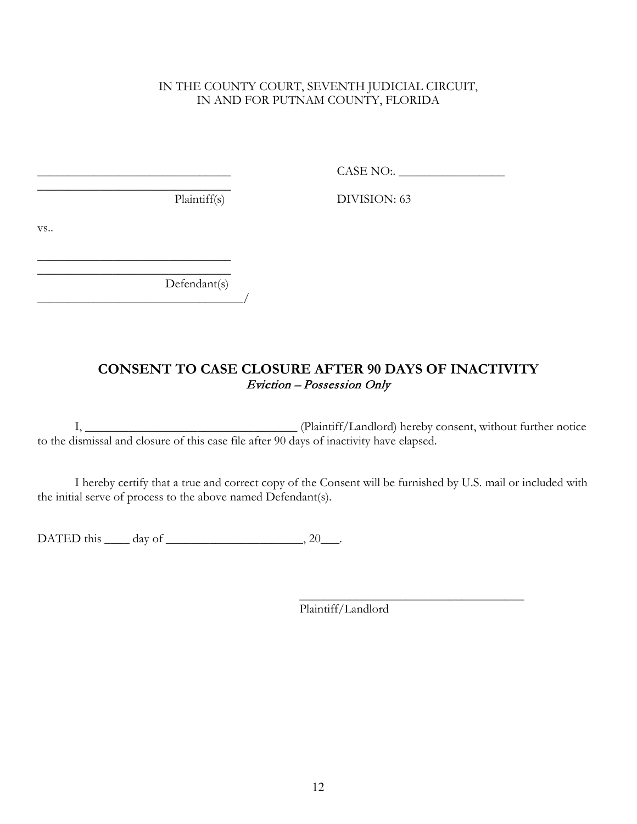## IN THE COUNTY COURT, SEVENTH JUDICIAL CIRCUIT, IN AND FOR PUTNAM COUNTY, FLORIDA

\_\_\_\_\_\_\_\_\_\_\_\_\_\_\_\_\_\_\_\_\_\_\_\_\_\_\_\_\_\_\_ CASE NO:. \_\_\_\_\_\_\_\_\_\_\_\_\_\_\_\_\_

 $\overline{\phantom{a}}$  , where  $\overline{\phantom{a}}$  , where  $\overline{\phantom{a}}$  , where  $\overline{\phantom{a}}$ 

Plaintiff(s) DIVISION: 63

vs..

 $\overline{\phantom{a}}$  , where  $\overline{\phantom{a}}$  , where  $\overline{\phantom{a}}$  , where  $\overline{\phantom{a}}$  Defendant(s)  $\frac{1}{2}$ 

 $\mathcal{L}_\text{max}$  , where  $\mathcal{L}_\text{max}$  and  $\mathcal{L}_\text{max}$  and  $\mathcal{L}_\text{max}$ 

## **CONSENT TO CASE CLOSURE AFTER 90 DAYS OF INACTIVITY** Eviction – Possession Only

I, \_\_\_\_\_\_\_\_\_\_\_\_\_\_\_\_\_\_\_\_\_\_\_\_\_\_\_\_\_\_\_\_\_\_ (Plaintiff/Landlord) hereby consent, without further notice to the dismissal and closure of this case file after 90 days of inactivity have elapsed.

I hereby certify that a true and correct copy of the Consent will be furnished by U.S. mail or included with the initial serve of process to the above named Defendant(s).

DATED this  $\rule{1em}{0.15mm}$  day of  $\rule{1em}{0.15mm}$ , 20\_\_\_.

\_\_\_\_\_\_\_\_\_\_\_\_\_\_\_\_\_\_\_\_\_\_\_\_\_\_\_\_\_\_\_\_\_\_\_\_ Plaintiff/Landlord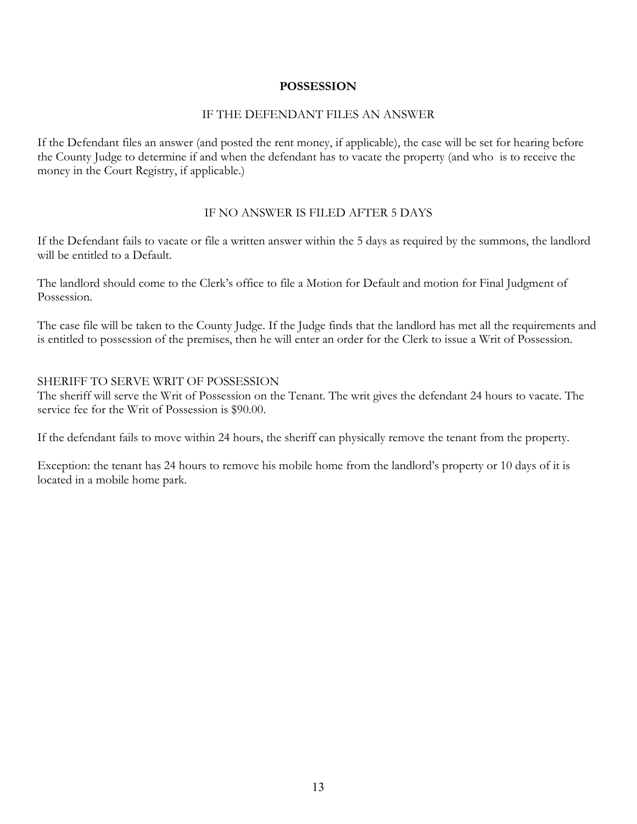### **POSSESSION**

#### IF THE DEFENDANT FILES AN ANSWER

If the Defendant files an answer (and posted the rent money, if applicable), the case will be set for hearing before the County Judge to determine if and when the defendant has to vacate the property (and who is to receive the money in the Court Registry, if applicable.)

#### IF NO ANSWER IS FILED AFTER 5 DAYS

If the Defendant fails to vacate or file a written answer within the 5 days as required by the summons, the landlord will be entitled to a Default.

The landlord should come to the Clerk's office to file a Motion for Default and motion for Final Judgment of Possession.

The case file will be taken to the County Judge. If the Judge finds that the landlord has met all the requirements and is entitled to possession of the premises, then he will enter an order for the Clerk to issue a Writ of Possession.

#### SHERIFF TO SERVE WRIT OF POSSESSION

The sheriff will serve the Writ of Possession on the Tenant. The writ gives the defendant 24 hours to vacate. The service fee for the Writ of Possession is \$90.00.

If the defendant fails to move within 24 hours, the sheriff can physically remove the tenant from the property.

Exception: the tenant has 24 hours to remove his mobile home from the landlord's property or 10 days of it is located in a mobile home park.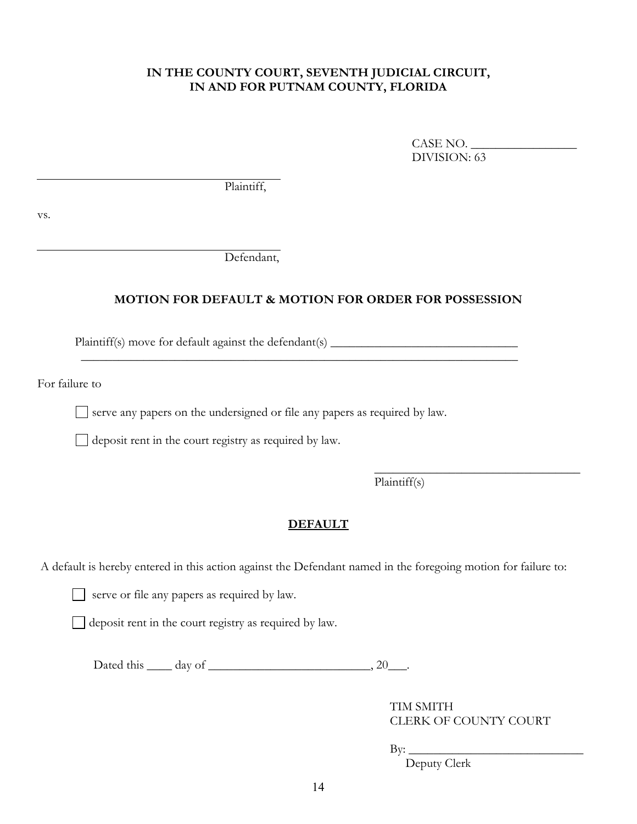#### **IN THE COUNTY COURT, SEVENTH JUDICIAL CIRCUIT, IN AND FOR PUTNAM COUNTY, FLORIDA**

CASE NO. DIVISION: 63

Plaintiff,

vs.

Defendant,

## **MOTION FOR DEFAULT & MOTION FOR ORDER FOR POSSESSION**

Plaintiff(s) move for default against the defendant(s) \_\_\_\_\_\_\_\_\_\_\_\_\_\_\_\_\_\_\_\_\_\_\_\_\_\_

For failure to

 $\Box$  serve any papers on the undersigned or file any papers as required by law.

 $\mathcal{L}_\text{max}$  and  $\mathcal{L}_\text{max}$  and  $\mathcal{L}_\text{max}$  and  $\mathcal{L}_\text{max}$  and  $\mathcal{L}_\text{max}$  and  $\mathcal{L}_\text{max}$ 

deposit rent in the court registry as required by law.

Plaintiff(s)

#### **DEFAULT**

A default is hereby entered in this action against the Defendant named in the foregoing motion for failure to:

serve or file any papers as required by law.

deposit rent in the court registry as required by law.

Dated this  $\_\_\_$  day of  $\_\_\_\_\_\_\_\$ 

 TIM SMITH CLERK OF COUNTY COURT

\_\_\_\_\_\_\_\_\_\_\_\_\_\_\_\_\_\_\_\_\_\_\_\_\_\_\_\_\_\_\_\_\_

 $\operatorname{By:}$ 

Deputy Clerk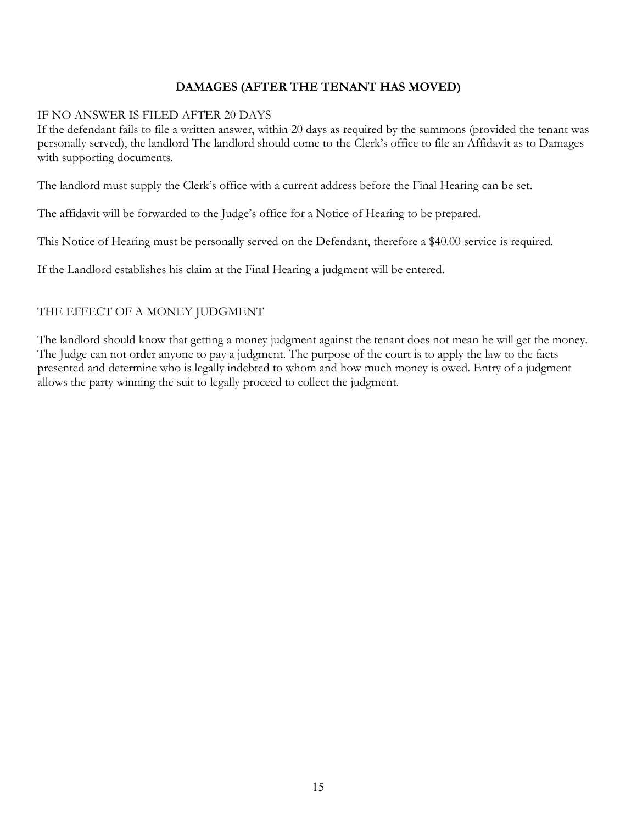## **DAMAGES (AFTER THE TENANT HAS MOVED)**

#### IF NO ANSWER IS FILED AFTER 20 DAYS

If the defendant fails to file a written answer, within 20 days as required by the summons (provided the tenant was personally served), the landlord The landlord should come to the Clerk's office to file an Affidavit as to Damages with supporting documents.

The landlord must supply the Clerk's office with a current address before the Final Hearing can be set.

The affidavit will be forwarded to the Judge's office for a Notice of Hearing to be prepared.

This Notice of Hearing must be personally served on the Defendant, therefore a \$40.00 service is required.

If the Landlord establishes his claim at the Final Hearing a judgment will be entered.

### THE EFFECT OF A MONEY JUDGMENT

The landlord should know that getting a money judgment against the tenant does not mean he will get the money. The Judge can not order anyone to pay a judgment. The purpose of the court is to apply the law to the facts presented and determine who is legally indebted to whom and how much money is owed. Entry of a judgment allows the party winning the suit to legally proceed to collect the judgment.